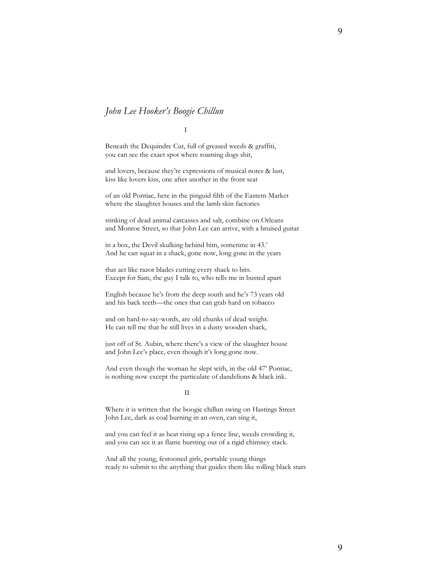## John Lee Hooker's Boogie Chillun

I

Beneath the Dequindre Cut, full of greased weeds & graffiti, you can see the exact spot where roaming dogs shit,

and lovers, because they're expressions of musical notes & lust, kiss like lovers kiss, one after another in the front seat

of an old Pontiac, here in the pinguid filth of the Eastern Market where the slaughter houses and the lamb skin factories

stinking of dead animal carcasses and salt, combine on Orleans and Monroe Street, so that John Lee can arrive, with a bruised guitar

in a box, the Devil skulking behind him, sometime in 43.' And he can squat in a shack, gone now, long gone in the years

that act like razor blades cutting every shack to bits. Except for Sam, the guy I talk to, who tells me in busted apart

English because he's from the deep south and he's 73 years old and his back teeth—the ones that can grab hard on tobacco

and on hard-to-say-words, are old chunks of dead weight. He can tell me that he still lives in a dusty wooden shack,

just off of St. Aubin, where there's a view of the slaughter house and John Lee's place, even though it's long gone now.

And even though the woman he slept with, in the old 47' Pontiac, is nothing now except the particulate of dandelions & black ink.

## II

Where it is written that the boogie chillun swing on Hastings Street John Lee, dark as coal burning in an oven, can sing it,

and you can feel it as heat rising up a fence line, weeds crowding it, and you can see it as flame bursting out of a rigid chimney stack.

And all the young, festooned girls, portable young things ready to submit to the anything that guides them like rolling black stars